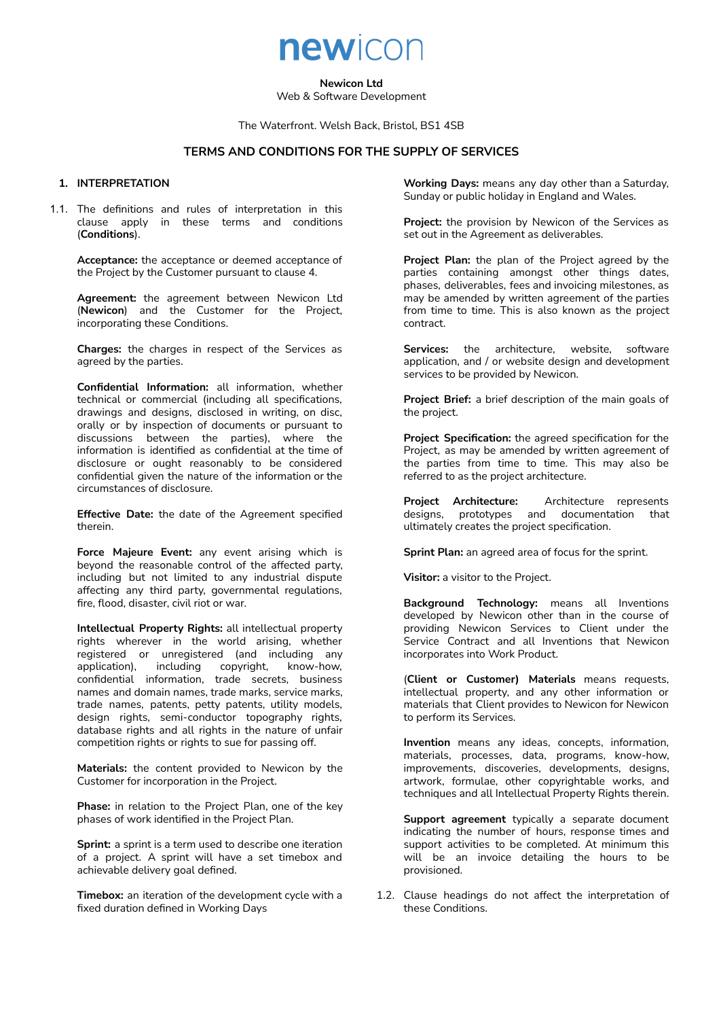**Newicon Ltd**

newicon

Web & Software Development

The Waterfront. Welsh Back, Bristol, BS1 4SB

# **TERMS AND CONDITIONS FOR THE SUPPLY OF SERVICES**

#### **1. INTERPRETATION**

1.1. The definitions and rules of interpretation in this clause apply in these terms and conditions (**Conditions**).

**Acceptance:** the acceptance or deemed acceptance of the Project by the Customer pursuant to clause 4.

**Agreement:** the agreement between Newicon Ltd (**Newicon**) and the Customer for the Project, incorporating these Conditions.

**Charges:** the charges in respect of the Services as agreed by the parties.

**Confidential Information:** all information, whether technical or commercial (including all specifications, drawings and designs, disclosed in writing, on disc, orally or by inspection of documents or pursuant to discussions between the parties), where the information is identified as confidential at the time of disclosure or ought reasonably to be considered confidential given the nature of the information or the circumstances of disclosure.

**Effective Date:** the date of the Agreement specified therein.

**Force Majeure Event:** any event arising which is beyond the reasonable control of the affected party, including but not limited to any industrial dispute affecting any third party, governmental regulations, fire, flood, disaster, civil riot or war.

**Intellectual Property Rights:** all intellectual property rights wherever in the world arising, whether registered or unregistered (and including any application), including copyright, know-how, confidential information, trade secrets, business names and domain names, trade marks, service marks, trade names, patents, petty patents, utility models, design rights, semi-conductor topography rights, database rights and all rights in the nature of unfair competition rights or rights to sue for passing off.

**Materials:** the content provided to Newicon by the Customer for incorporation in the Project.

**Phase:** in relation to the Project Plan, one of the key phases of work identified in the Project Plan.

**Sprint:** a sprint is a term used to describe one iteration of a project. A sprint will have a set timebox and achievable delivery goal defined.

**Timebox:** an iteration of the development cycle with a fixed duration defined in Working Days

**Working Days:** means any day other than a Saturday, Sunday or public holiday in England and Wales.

**Project:** the provision by Newicon of the Services as set out in the Agreement as deliverables.

**Project Plan:** the plan of the Project agreed by the parties containing amongst other things dates, phases, deliverables, fees and invoicing milestones, as may be amended by written agreement of the parties from time to time. This is also known as the project contract.

**Services:** the architecture, website, software application, and / or website design and development services to be provided by Newicon.

**Project Brief:** a brief description of the main goals of the project.

**Project Specification:** the agreed specification for the Project, as may be amended by written agreement of the parties from time to time. This may also be referred to as the project architecture.

**Project Architecture:** Architecture represents designs, prototypes and documentation that ultimately creates the project specification.

**Sprint Plan:** an agreed area of focus for the sprint.

**Visitor:** a visitor to the Project.

**Background Technology:** means all Inventions developed by Newicon other than in the course of providing Newicon Services to Client under the Service Contract and all Inventions that Newicon incorporates into Work Product.

(**Client or Customer) Materials** means requests, intellectual property, and any other information or materials that Client provides to Newicon for Newicon to perform its Services.

**Invention** means any ideas, concepts, information, materials, processes, data, programs, know-how, improvements, discoveries, developments, designs, artwork, formulae, other copyrightable works, and techniques and all Intellectual Property Rights therein.

**Support agreement** typically a separate document indicating the number of hours, response times and support activities to be completed. At minimum this will be an invoice detailing the hours to be provisioned.

1.2. Clause headings do not affect the interpretation of these Conditions.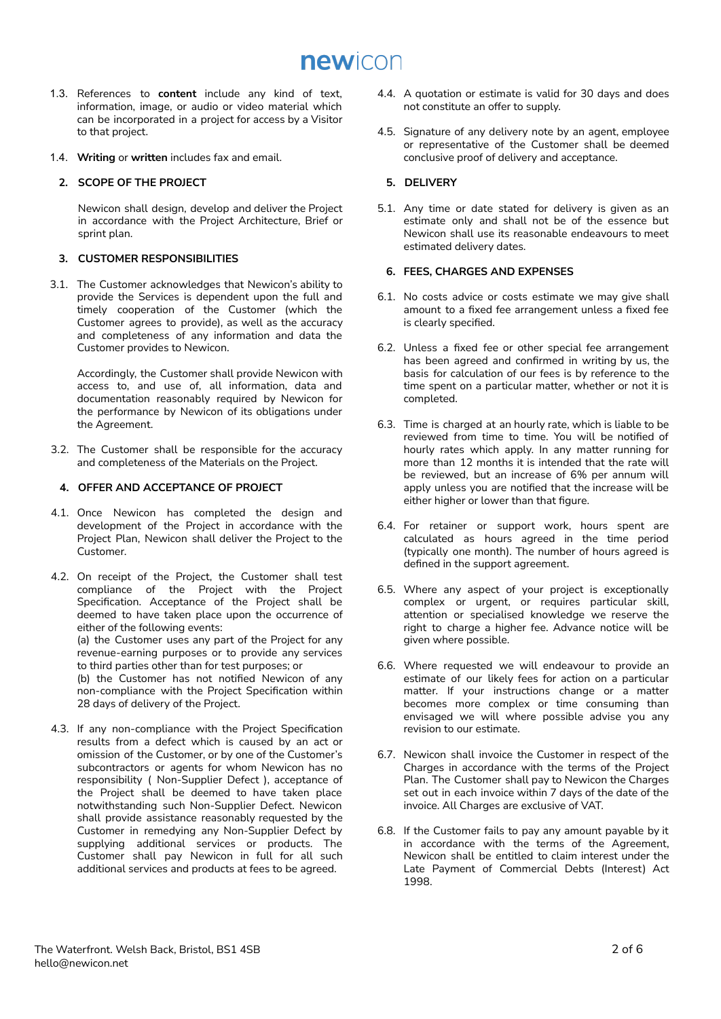newicon

- 1.3. References to **content** include any kind of text, information, image, or audio or video material which can be incorporated in a project for access by a Visitor to that project.
- 1.4. **Writing** or **written** includes fax and email.

# **2. SCOPE OF THE PROJECT**

Newicon shall design, develop and deliver the Project in accordance with the Project Architecture, Brief or sprint plan.

## **3. CUSTOMER RESPONSIBILITIES**

3.1. The Customer acknowledges that Newicon's ability to provide the Services is dependent upon the full and timely cooperation of the Customer (which the Customer agrees to provide), as well as the accuracy and completeness of any information and data the Customer provides to Newicon.

Accordingly, the Customer shall provide Newicon with access to, and use of, all information, data and documentation reasonably required by Newicon for the performance by Newicon of its obligations under the Agreement.

3.2. The Customer shall be responsible for the accuracy and completeness of the Materials on the Project.

# **4. OFFER AND ACCEPTANCE OF PROJECT**

- 4.1. Once Newicon has completed the design and development of the Project in accordance with the Project Plan, Newicon shall deliver the Project to the Customer.
- 4.2. On receipt of the Project, the Customer shall test compliance of the Project with the Project Specification. Acceptance of the Project shall be deemed to have taken place upon the occurrence of either of the following events:

(a) the Customer uses any part of the Project for any revenue-earning purposes or to provide any services to third parties other than for test purposes; or

(b) the Customer has not notified Newicon of any non-compliance with the Project Specification within 28 days of delivery of the Project.

4.3. If any non-compliance with the Project Specification results from a defect which is caused by an act or omission of the Customer, or by one of the Customer's subcontractors or agents for whom Newicon has no responsibility ( Non-Supplier Defect ), acceptance of the Project shall be deemed to have taken place notwithstanding such Non-Supplier Defect. Newicon shall provide assistance reasonably requested by the Customer in remedying any Non-Supplier Defect by supplying additional services or products. The Customer shall pay Newicon in full for all such additional services and products at fees to be agreed.

- 4.4. A quotation or estimate is valid for 30 days and does not constitute an offer to supply.
- 4.5. Signature of any delivery note by an agent, employee or representative of the Customer shall be deemed conclusive proof of delivery and acceptance.

## **5. DELIVERY**

5.1. Any time or date stated for delivery is given as an estimate only and shall not be of the essence but Newicon shall use its reasonable endeavours to meet estimated delivery dates.

## **6. FEES, CHARGES AND EXPENSES**

- 6.1. No costs advice or costs estimate we may give shall amount to a fixed fee arrangement unless a fixed fee is clearly specified.
- 6.2. Unless a fixed fee or other special fee arrangement has been agreed and confirmed in writing by us, the basis for calculation of our fees is by reference to the time spent on a particular matter, whether or not it is completed.
- 6.3. Time is charged at an hourly rate, which is liable to be reviewed from time to time. You will be notified of hourly rates which apply. In any matter running for more than 12 months it is intended that the rate will be reviewed, but an increase of 6% per annum will apply unless you are notified that the increase will be either higher or lower than that figure.
- 6.4. For retainer or support work, hours spent are calculated as hours agreed in the time period (typically one month). The number of hours agreed is defined in the support agreement.
- 6.5. Where any aspect of your project is exceptionally complex or urgent, or requires particular skill, attention or specialised knowledge we reserve the right to charge a higher fee. Advance notice will be given where possible.
- 6.6. Where requested we will endeavour to provide an estimate of our likely fees for action on a particular matter. If your instructions change or a matter becomes more complex or time consuming than envisaged we will where possible advise you any revision to our estimate.
- 6.7. Newicon shall invoice the Customer in respect of the Charges in accordance with the terms of the Project Plan. The Customer shall pay to Newicon the Charges set out in each invoice within 7 days of the date of the invoice. All Charges are exclusive of VAT.
- 6.8. If the Customer fails to pay any amount payable by it in accordance with the terms of the Agreement, Newicon shall be entitled to claim interest under the Late Payment of Commercial Debts (Interest) Act 1998.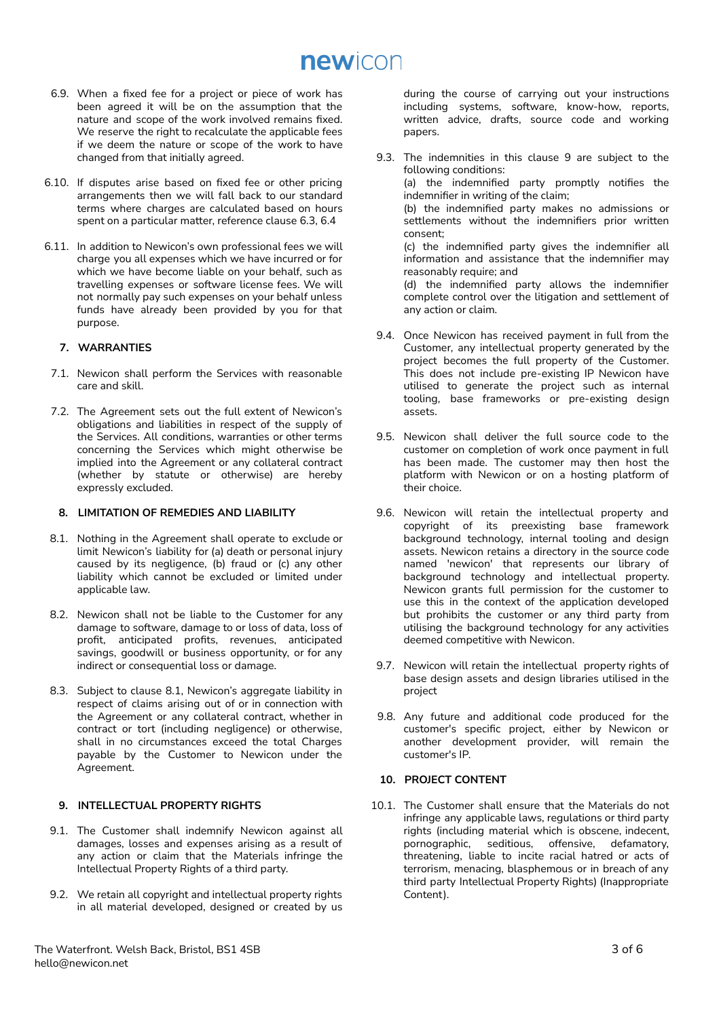# newicon

- 6.9. When a fixed fee for a project or piece of work has been agreed it will be on the assumption that the nature and scope of the work involved remains fixed. We reserve the right to recalculate the applicable fees if we deem the nature or scope of the work to have changed from that initially agreed.
- 6.10. If disputes arise based on fixed fee or other pricing arrangements then we will fall back to our standard terms where charges are calculated based on hours spent on a particular matter, reference clause 6.3, 6.4
- 6.11. In addition to Newicon's own professional fees we will charge you all expenses which we have incurred or for which we have become liable on your behalf, such as travelling expenses or software license fees. We will not normally pay such expenses on your behalf unless funds have already been provided by you for that purpose.

## **7. WARRANTIES**

- 7.1. Newicon shall perform the Services with reasonable care and skill.
- 7.2. The Agreement sets out the full extent of Newicon's obligations and liabilities in respect of the supply of the Services. All conditions, warranties or other terms concerning the Services which might otherwise be implied into the Agreement or any collateral contract (whether by statute or otherwise) are hereby expressly excluded.

#### **8. LIMITATION OF REMEDIES AND LIABILITY**

- 8.1. Nothing in the Agreement shall operate to exclude or limit Newicon's liability for (a) death or personal injury caused by its negligence, (b) fraud or (c) any other liability which cannot be excluded or limited under applicable law.
- 8.2. Newicon shall not be liable to the Customer for any damage to software, damage to or loss of data, loss of profit, anticipated profits, revenues, anticipated savings, goodwill or business opportunity, or for any indirect or consequential loss or damage.
- 8.3. Subject to clause 8.1, Newicon's aggregate liability in respect of claims arising out of or in connection with the Agreement or any collateral contract, whether in contract or tort (including negligence) or otherwise, shall in no circumstances exceed the total Charges payable by the Customer to Newicon under the Agreement.

# **9. INTELLECTUAL PROPERTY RIGHTS**

- 9.1. The Customer shall indemnify Newicon against all damages, losses and expenses arising as a result of any action or claim that the Materials infringe the Intellectual Property Rights of a third party.
- 9.2. We retain all copyright and intellectual property rights in all material developed, designed or created by us

during the course of carrying out your instructions including systems, software, know-how, reports, written advice, drafts, source code and working papers.

- 9.3. The indemnities in this clause 9 are subject to the following conditions: (a) the indemnified party promptly notifies the indemnifier in writing of the claim; (b) the indemnified party makes no admissions or settlements without the indemnifiers prior written consent; (c) the indemnified party gives the indemnifier all information and assistance that the indemnifier may reasonably require; and (d) the indemnified party allows the indemnifier complete control over the litigation and settlement of any action or claim.
- 9.4. Once Newicon has received payment in full from the Customer, any intellectual property generated by the project becomes the full property of the Customer. This does not include pre-existing IP Newicon have utilised to generate the project such as internal tooling, base frameworks or pre-existing design assets.
- 9.5. Newicon shall deliver the full source code to the customer on completion of work once payment in full has been made. The customer may then host the platform with Newicon or on a hosting platform of their choice.
- 9.6. Newicon will retain the intellectual property and copyright of its preexisting base framework background technology, internal tooling and design assets. Newicon retains a directory in the source code named 'newicon' that represents our library of background technology and intellectual property. Newicon grants full permission for the customer to use this in the context of the application developed but prohibits the customer or any third party from utilising the background technology for any activities deemed competitive with Newicon.
- 9.7. Newicon will retain the intellectual property rights of base design assets and design libraries utilised in the project
- 9.8. Any future and additional code produced for the customer's specific project, either by Newicon or another development provider, will remain the customer's IP.

# **10. PROJECT CONTENT**

10.1. The Customer shall ensure that the Materials do not infringe any applicable laws, regulations or third party rights (including material which is obscene, indecent, pornographic, seditious, offensive, defamatory, threatening, liable to incite racial hatred or acts of terrorism, menacing, blasphemous or in breach of any third party Intellectual Property Rights) (Inappropriate Content).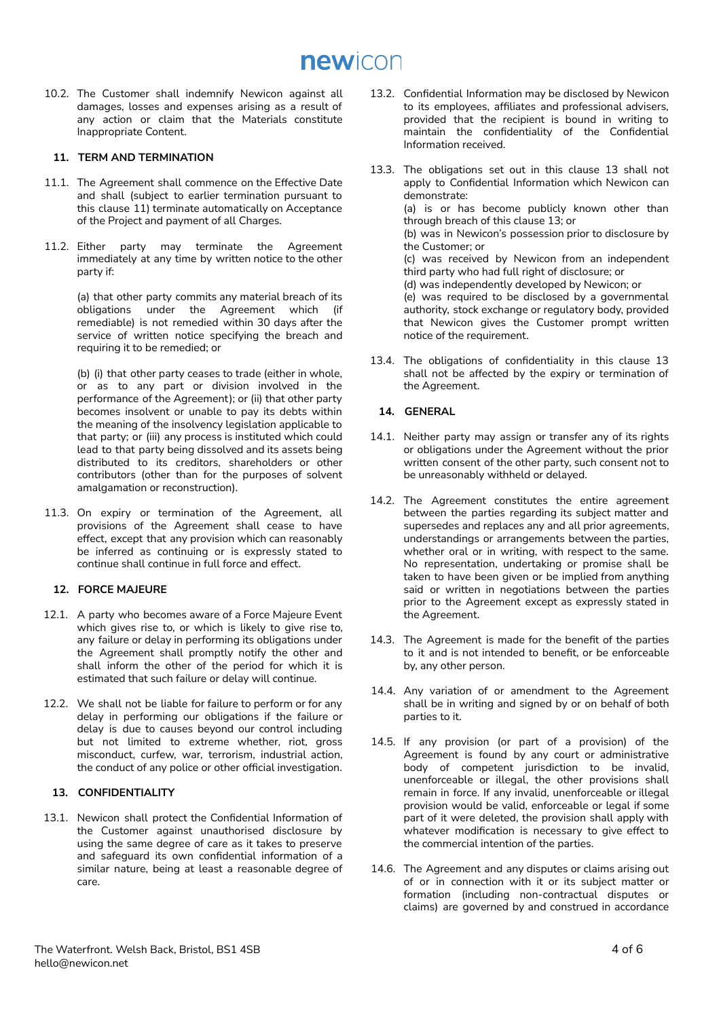10.2. The Customer shall indemnify Newicon against all damages, losses and expenses arising as a result of any action or claim that the Materials constitute Inappropriate Content.

# **11. TERM AND TERMINATION**

- 11.1. The Agreement shall commence on the Effective Date and shall (subject to earlier termination pursuant to this clause 11) terminate automatically on Acceptance of the Project and payment of all Charges.
- 11.2. Either party may terminate the Agreement immediately at any time by written notice to the other party if:

(a) that other party commits any material breach of its obligations under the Agreement which (if remediable) is not remedied within 30 days after the service of written notice specifying the breach and requiring it to be remedied; or

(b) (i) that other party ceases to trade (either in whole, or as to any part or division involved in the performance of the Agreement); or (ii) that other party becomes insolvent or unable to pay its debts within the meaning of the insolvency legislation applicable to that party; or (iii) any process is instituted which could lead to that party being dissolved and its assets being distributed to its creditors, shareholders or other contributors (other than for the purposes of solvent amalgamation or reconstruction).

11.3. On expiry or termination of the Agreement, all provisions of the Agreement shall cease to have effect, except that any provision which can reasonably be inferred as continuing or is expressly stated to continue shall continue in full force and effect.

# **12. FORCE MAJEURE**

- 12.1. A party who becomes aware of a Force Majeure Event which gives rise to, or which is likely to give rise to, any failure or delay in performing its obligations under the Agreement shall promptly notify the other and shall inform the other of the period for which it is estimated that such failure or delay will continue.
- 12.2. We shall not be liable for failure to perform or for any delay in performing our obligations if the failure or delay is due to causes beyond our control including but not limited to extreme whether, riot, gross misconduct, curfew, war, terrorism, industrial action, the conduct of any police or other official investigation.

# **13. CONFIDENTIALITY**

13.1. Newicon shall protect the Confidential Information of the Customer against unauthorised disclosure by using the same degree of care as it takes to preserve and safeguard its own confidential information of a similar nature, being at least a reasonable degree of care.

- 13.2. Confidential Information may be disclosed by Newicon to its employees, affiliates and professional advisers, provided that the recipient is bound in writing to maintain the confidentiality of the Confidential Information received.
- 13.3. The obligations set out in this clause 13 shall not apply to Confidential Information which Newicon can demonstrate: (a) is or has become publicly known other than through breach of this clause 13; or (b) was in Newicon's possession prior to disclosure by the Customer; or (c) was received by Newicon from an independent third party who had full right of disclosure; or (d) was independently developed by Newicon; or (e) was required to be disclosed by a governmental authority, stock exchange or regulatory body, provided that Newicon gives the Customer prompt written notice of the requirement.
- 13.4. The obligations of confidentiality in this clause 13 shall not be affected by the expiry or termination of the Agreement.

# **14. GENERAL**

- 14.1. Neither party may assign or transfer any of its rights or obligations under the Agreement without the prior written consent of the other party, such consent not to be unreasonably withheld or delayed.
- 14.2. The Agreement constitutes the entire agreement between the parties regarding its subject matter and supersedes and replaces any and all prior agreements, understandings or arrangements between the parties, whether oral or in writing, with respect to the same. No representation, undertaking or promise shall be taken to have been given or be implied from anything said or written in negotiations between the parties prior to the Agreement except as expressly stated in the Agreement.
- 14.3. The Agreement is made for the benefit of the parties to it and is not intended to benefit, or be enforceable by, any other person.
- 14.4. Any variation of or amendment to the Agreement shall be in writing and signed by or on behalf of both parties to it.
- 14.5. If any provision (or part of a provision) of the Agreement is found by any court or administrative body of competent jurisdiction to be invalid, unenforceable or illegal, the other provisions shall remain in force. If any invalid, unenforceable or illegal provision would be valid, enforceable or legal if some part of it were deleted, the provision shall apply with whatever modification is necessary to give effect to the commercial intention of the parties.
- 14.6. The Agreement and any disputes or claims arising out of or in connection with it or its subject matter or formation (including non-contractual disputes or claims) are governed by and construed in accordance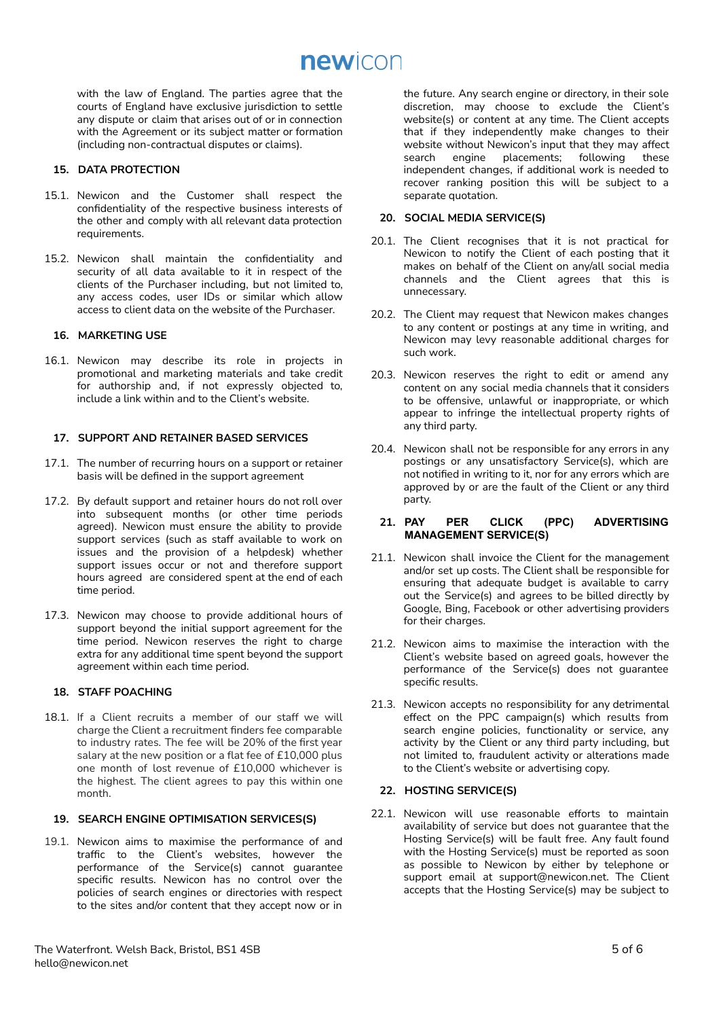with the law of England. The parties agree that the courts of England have exclusive jurisdiction to settle any dispute or claim that arises out of or in connection with the Agreement or its subject matter or formation (including non-contractual disputes or claims).

# **15. DATA PROTECTION**

- 15.1. Newicon and the Customer shall respect the confidentiality of the respective business interests of the other and comply with all relevant data protection requirements.
- 15.2. Newicon shall maintain the confidentiality and security of all data available to it in respect of the clients of the Purchaser including, but not limited to, any access codes, user IDs or similar which allow access to client data on the website of the Purchaser.

# **16. MARKETING USE**

16.1. Newicon may describe its role in projects in promotional and marketing materials and take credit for authorship and, if not expressly objected to, include a link within and to the Client's website.

#### **17. SUPPORT AND RETAINER BASED SERVICES**

- 17.1. The number of recurring hours on a support or retainer basis will be defined in the support agreement
- 17.2. By default support and retainer hours do not roll over into subsequent months (or other time periods agreed). Newicon must ensure the ability to provide support services (such as staff available to work on issues and the provision of a helpdesk) whether support issues occur or not and therefore support hours agreed are considered spent at the end of each time period.
- 17.3. Newicon may choose to provide additional hours of support beyond the initial support agreement for the time period. Newicon reserves the right to charge extra for any additional time spent beyond the support agreement within each time period.

## **18. STAFF POACHING**

18.1. If a Client recruits a member of our staff we will charge the Client a recruitment finders fee comparable to industry rates. The fee will be 20% of the first year salary at the new position or a flat fee of £10,000 plus one month of lost revenue of £10,000 whichever is the highest. The client agrees to pay this within one month.

### **19. SEARCH ENGINE OPTIMISATION SERVICES(S)**

19.1. Newicon aims to maximise the performance of and traffic to the Client's websites, however the performance of the Service(s) cannot guarantee specific results. Newicon has no control over the policies of search engines or directories with respect to the sites and/or content that they accept now or in

the future. Any search engine or directory, in their sole discretion, may choose to exclude the Client's website(s) or content at any time. The Client accepts that if they independently make changes to their website without Newicon's input that they may affect<br>search engine placements; following these placements; independent changes, if additional work is needed to recover ranking position this will be subject to a separate quotation.

# **20. SOCIAL MEDIA SERVICE(S)**

- 20.1. The Client recognises that it is not practical for Newicon to notify the Client of each posting that it makes on behalf of the Client on any/all social media channels and the Client agrees that this is unnecessary.
- 20.2. The Client may request that Newicon makes changes to any content or postings at any time in writing, and Newicon may levy reasonable additional charges for such work.
- 20.3. Newicon reserves the right to edit or amend any content on any social media channels that it considers to be offensive, unlawful or inappropriate, or which appear to infringe the intellectual property rights of any third party.
- 20.4. Newicon shall not be responsible for any errors in any postings or any unsatisfactory Service(s), which are not notified in writing to it, nor for any errors which are approved by or are the fault of the Client or any third party.

## **21. PAY PER CLICK (PPC) ADVERTISING MANAGEMENT SERVICE(S)**

- 21.1. Newicon shall invoice the Client for the management and/or set up costs. The Client shall be responsible for ensuring that adequate budget is available to carry out the Service(s) and agrees to be billed directly by Google, Bing, Facebook or other advertising providers for their charges.
- 21.2. Newicon aims to maximise the interaction with the Client's website based on agreed goals, however the performance of the Service(s) does not guarantee specific results.
- 21.3. Newicon accepts no responsibility for any detrimental effect on the PPC campaign(s) which results from search engine policies, functionality or service, any activity by the Client or any third party including, but not limited to, fraudulent activity or alterations made to the Client's website or advertising copy.

# **22. HOSTING SERVICE(S)**

22.1. Newicon will use reasonable efforts to maintain availability of service but does not guarantee that the Hosting Service(s) will be fault free. Any fault found with the Hosting Service(s) must be reported as soon as possible to Newicon by either by telephone or support email at support@newicon.net. The Client accepts that the Hosting Service(s) may be subject to